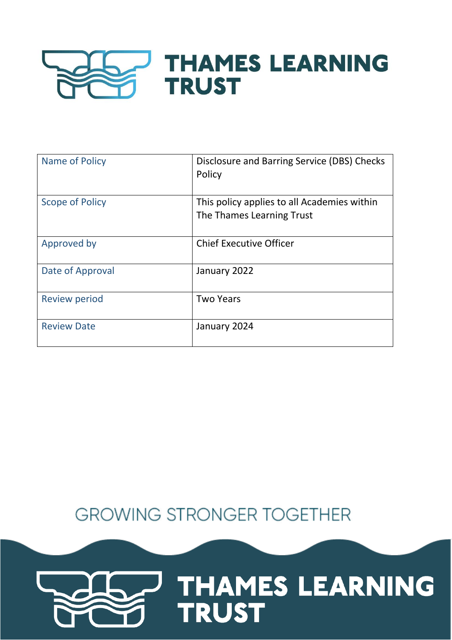## **THAMES LEARNING TRUST**

| Name of Policy       | Disclosure and Barring Service (DBS) Checks<br>Policy                    |
|----------------------|--------------------------------------------------------------------------|
| Scope of Policy      | This policy applies to all Academies within<br>The Thames Learning Trust |
| Approved by          | <b>Chief Executive Officer</b>                                           |
| Date of Approval     | January 2022                                                             |
| <b>Review period</b> | <b>Two Years</b>                                                         |
| <b>Review Date</b>   | January 2024                                                             |

### **GROWING STRONGER TOGETHER**

# THAMES LEARNING **TRUST**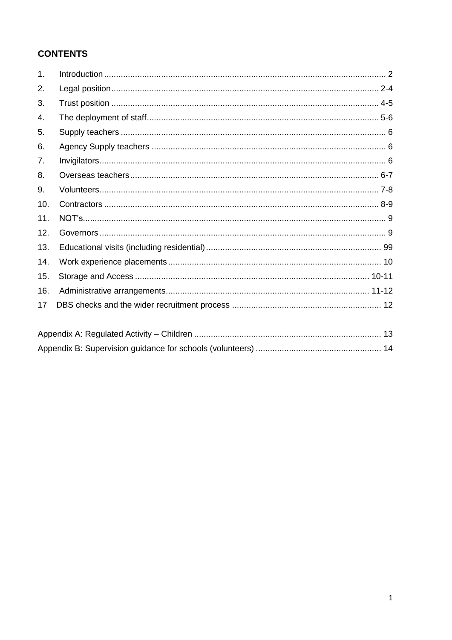#### **CONTENTS**

| 1.  |  |
|-----|--|
| 2.  |  |
| 3.  |  |
| 4.  |  |
| 5.  |  |
| 6.  |  |
| 7.  |  |
| 8.  |  |
| 9.  |  |
| 10. |  |
| 11. |  |
| 12. |  |
| 13. |  |
| 14. |  |
| 15. |  |
| 16. |  |
| 17  |  |
|     |  |

<span id="page-1-0"></span>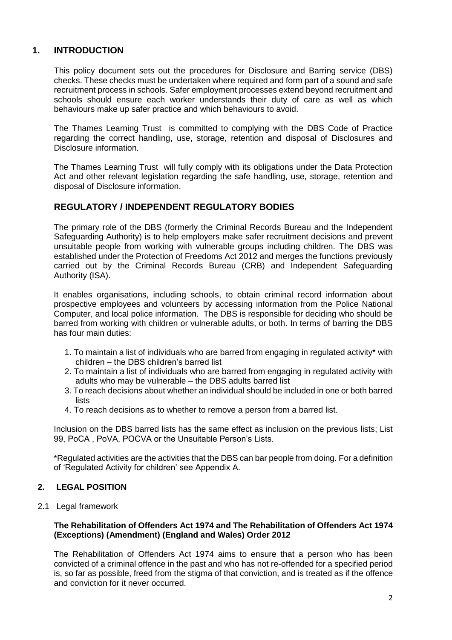#### **1. INTRODUCTION**

This policy document sets out the procedures for Disclosure and Barring service (DBS) checks. These checks must be undertaken where required and form part of a sound and safe recruitment process in schools. Safer employment processes extend beyond recruitment and schools should ensure each worker understands their duty of care as well as which behaviours make up safer practice and which behaviours to avoid.

The Thames Learning Trust is committed to complying with the DBS Code of Practice regarding the correct handling, use, storage, retention and disposal of Disclosures and Disclosure information.

The Thames Learning Trust will fully comply with its obligations under the Data Protection Act and other relevant legislation regarding the safe handling, use, storage, retention and disposal of Disclosure information.

#### **REGULATORY / INDEPENDENT REGULATORY BODIES**

The primary role of the DBS (formerly the Criminal Records Bureau and the Independent Safeguarding Authority) is to help employers make safer recruitment decisions and prevent unsuitable people from working with vulnerable groups including children. The DBS was established under the Protection of Freedoms Act 2012 and merges the functions previously carried out by the Criminal Records Bureau (CRB) and Independent Safeguarding Authority (ISA).

It enables organisations, including schools, to obtain criminal record information about prospective employees and volunteers by accessing information from the Police National Computer, and local police information. The DBS is responsible for deciding who should be barred from working with children or vulnerable adults, or both. In terms of barring the DBS has four main duties:

- 1. To maintain a list of individuals who are barred from engaging in regulated activity\* with children – the DBS children's barred list
- 2. To maintain a list of individuals who are barred from engaging in regulated activity with adults who may be vulnerable – the DBS adults barred list
- 3. To reach decisions about whether an individual should be included in one or both barred lists
- 4. To reach decisions as to whether to remove a person from a barred list.

Inclusion on the DBS barred lists has the same effect as inclusion on the previous lists; List 99, PoCA , PoVA, POCVA or the Unsuitable Person's Lists.

\*Regulated activities are the activities that the DBS can bar people from doing. For a definition of 'Regulated Activity for children' see Appendix A.

#### <span id="page-2-0"></span>**2. LEGAL POSITION**

2.1 Legal framework

#### **The Rehabilitation of Offenders Act 1974 and The Rehabilitation of Offenders Act 1974 (Exceptions) (Amendment) (England and Wales) Order 2012**

The Rehabilitation of Offenders Act 1974 aims to ensure that a person who has been convicted of a criminal offence in the past and who has not re-offended for a specified period is, so far as possible, freed from the stigma of that conviction, and is treated as if the offence and conviction for it never occurred.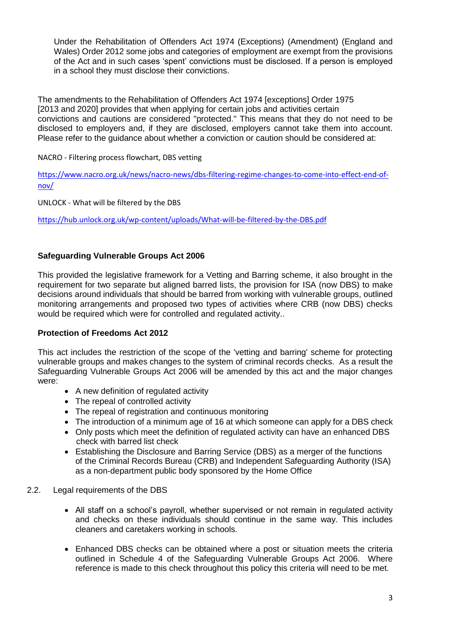Under the Rehabilitation of Offenders Act 1974 (Exceptions) (Amendment) (England and Wales) Order 2012 some jobs and categories of employment are exempt from the provisions of the Act and in such cases 'spent' convictions must be disclosed. If a person is employed in a school they must disclose their convictions.

The amendments to the Rehabilitation of Offenders Act 1974 [exceptions] Order 1975 [2013 and 2020] provides that when applying for certain jobs and activities certain convictions and cautions are considered "protected." This means that they do not need to be disclosed to employers and, if they are disclosed, employers cannot take them into account. Please refer to the guidance about whether a conviction or caution should be considered at:

NACRO - Filtering process flowchart, DBS vetting

[https://www.nacro.org.uk/news/nacro-news/dbs-filtering-regime-changes-to-come-into-effect-end-of](https://www.nacro.org.uk/news/nacro-news/dbs-filtering-regime-changes-to-come-into-effect-end-of-nov/)[nov/](https://www.nacro.org.uk/news/nacro-news/dbs-filtering-regime-changes-to-come-into-effect-end-of-nov/)

UNLOCK - What will be filtered by the DBS

<https://hub.unlock.org.uk/wp-content/uploads/What-will-be-filtered-by-the-DBS.pdf>

#### **Safeguarding Vulnerable Groups Act 2006**

This provided the legislative framework for a Vetting and Barring scheme, it also brought in the requirement for two separate but aligned barred lists, the provision for ISA (now DBS) to make decisions around individuals that should be barred from working with vulnerable groups, outlined monitoring arrangements and proposed two types of activities where CRB (now DBS) checks would be required which were for controlled and regulated activity..

#### **Protection of Freedoms Act 2012**

This act includes the restriction of the scope of the 'vetting and barring' scheme for protecting vulnerable groups and makes changes to the system of criminal records checks. As a result the Safeguarding Vulnerable Groups Act 2006 will be amended by this act and the major changes were:

- A new definition of regulated activity
- The repeal of controlled activity
- The repeal of registration and continuous monitoring
- The introduction of a minimum age of 16 at which someone can apply for a DBS check
- Only posts which meet the definition of regulated activity can have an enhanced DBS check with barred list check
- Establishing the Disclosure and Barring Service (DBS) as a merger of the functions of the Criminal Records Bureau (CRB) and Independent Safeguarding Authority (ISA) as a non-department public body sponsored by the Home Office
- 2.2. Legal requirements of the DBS
	- All staff on a school's payroll, whether supervised or not remain in regulated activity and checks on these individuals should continue in the same way. This includes cleaners and caretakers working in schools.
	- Enhanced DBS checks can be obtained where a post or situation meets the criteria outlined in Schedule 4 of the Safeguarding Vulnerable Groups Act 2006. Where reference is made to this check throughout this policy this criteria will need to be met.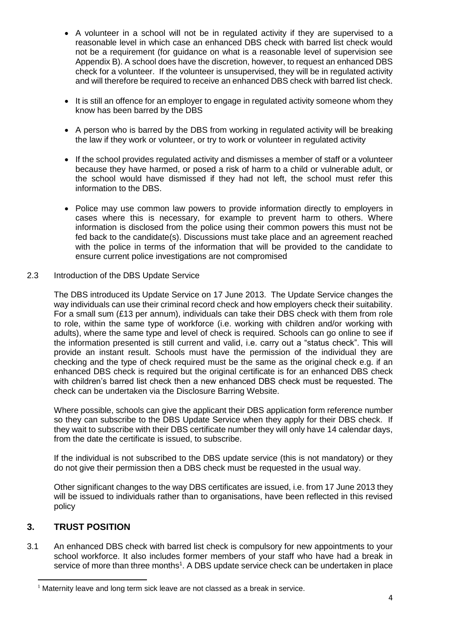- A volunteer in a school will not be in regulated activity if they are supervised to a reasonable level in which case an enhanced DBS check with barred list check would not be a requirement (for guidance on what is a reasonable level of supervision see Appendix B). A school does have the discretion, however, to request an enhanced DBS check for a volunteer. If the volunteer is unsupervised, they will be in regulated activity and will therefore be required to receive an enhanced DBS check with barred list check.
- It is still an offence for an employer to engage in regulated activity someone whom they know has been barred by the DBS
- A person who is barred by the DBS from working in regulated activity will be breaking the law if they work or volunteer, or try to work or volunteer in regulated activity
- If the school provides regulated activity and dismisses a member of staff or a volunteer because they have harmed, or posed a risk of harm to a child or vulnerable adult, or the school would have dismissed if they had not left, the school must refer this information to the DBS.
- Police may use common law powers to provide information directly to employers in cases where this is necessary, for example to prevent harm to others. Where information is disclosed from the police using their common powers this must not be fed back to the candidate(s). Discussions must take place and an agreement reached with the police in terms of the information that will be provided to the candidate to ensure current police investigations are not compromised

#### 2.3 Introduction of the DBS Update Service

The DBS introduced its Update Service on 17 June 2013. The Update Service changes the way individuals can use their criminal record check and how employers check their suitability. For a small sum (£13 per annum), individuals can take their DBS check with them from role to role, within the same type of workforce (i.e. working with children and/or working with adults), where the same type and level of check is required. Schools can go online to see if the information presented is still current and valid, i.e. carry out a "status check". This will provide an instant result. Schools must have the permission of the individual they are checking and the type of check required must be the same as the original check e.g. if an enhanced DBS check is required but the original certificate is for an enhanced DBS check with children's barred list check then a new enhanced DBS check must be requested. The check can be undertaken via the Disclosure Barring Website.

Where possible, schools can give the applicant their DBS application form reference number so they can subscribe to the DBS Update Service when they apply for their DBS check. If they wait to subscribe with their DBS certificate number they will only have 14 calendar days, from the date the certificate is issued, to subscribe.

If the individual is not subscribed to the DBS update service (this is not mandatory) or they do not give their permission then a DBS check must be requested in the usual way.

Other significant changes to the way DBS certificates are issued, i.e. from 17 June 2013 they will be issued to individuals rather than to organisations, have been reflected in this revised policy

#### <span id="page-4-0"></span>**3. TRUST POSITION**

 $\overline{a}$ 

3.1 An enhanced DBS check with barred list check is compulsory for new appointments to your school workforce. It also includes former members of your staff who have had a break in service of more than three months<sup>1</sup>. A DBS update service check can be undertaken in place

 $1$  Maternity leave and long term sick leave are not classed as a break in service.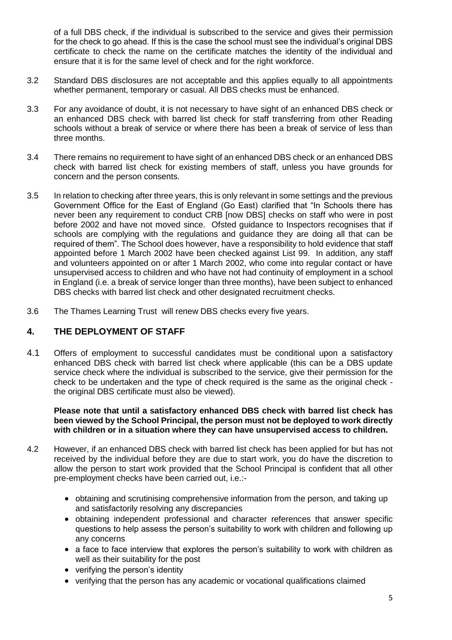of a full DBS check, if the individual is subscribed to the service and gives their permission for the check to go ahead. If this is the case the school must see the individual's original DBS certificate to check the name on the certificate matches the identity of the individual and ensure that it is for the same level of check and for the right workforce.

- 3.2 Standard DBS disclosures are not acceptable and this applies equally to all appointments whether permanent, temporary or casual. All DBS checks must be enhanced.
- 3.3 For any avoidance of doubt, it is not necessary to have sight of an enhanced DBS check or an enhanced DBS check with barred list check for staff transferring from other Reading schools without a break of service or where there has been a break of service of less than three months.
- 3.4 There remains no requirement to have sight of an enhanced DBS check or an enhanced DBS check with barred list check for existing members of staff, unless you have grounds for concern and the person consents.
- 3.5 In relation to checking after three years, this is only relevant in some settings and the previous Government Office for the East of England (Go East) clarified that "In Schools there has never been any requirement to conduct CRB [now DBS] checks on staff who were in post before 2002 and have not moved since. Ofsted guidance to Inspectors recognises that if schools are complying with the regulations and guidance they are doing all that can be required of them". The School does however, have a responsibility to hold evidence that staff appointed before 1 March 2002 have been checked against List 99. In addition, any staff and volunteers appointed on or after 1 March 2002, who come into regular contact or have unsupervised access to children and who have not had continuity of employment in a school in England (i.e. a break of service longer than three months), have been subject to enhanced DBS checks with barred list check and other designated recruitment checks.
- 3.6 The Thames Learning Trust will renew DBS checks every five years.

#### <span id="page-5-0"></span>**4. THE DEPLOYMENT OF STAFF**

4.1 Offers of employment to successful candidates must be conditional upon a satisfactory enhanced DBS check with barred list check where applicable (this can be a DBS update service check where the individual is subscribed to the service, give their permission for the check to be undertaken and the type of check required is the same as the original check the original DBS certificate must also be viewed).

**Please note that until a satisfactory enhanced DBS check with barred list check has been viewed by the School Principal, the person must not be deployed to work directly with children or in a situation where they can have unsupervised access to children.**

- 4.2 However, if an enhanced DBS check with barred list check has been applied for but has not received by the individual before they are due to start work, you do have the discretion to allow the person to start work provided that the School Principal is confident that all other pre-employment checks have been carried out, i.e.:-
	- obtaining and scrutinising comprehensive information from the person, and taking up and satisfactorily resolving any discrepancies
	- obtaining independent professional and character references that answer specific questions to help assess the person's suitability to work with children and following up any concerns
	- a face to face interview that explores the person's suitability to work with children as well as their suitability for the post
	- verifying the person's identity
	- verifying that the person has any academic or vocational qualifications claimed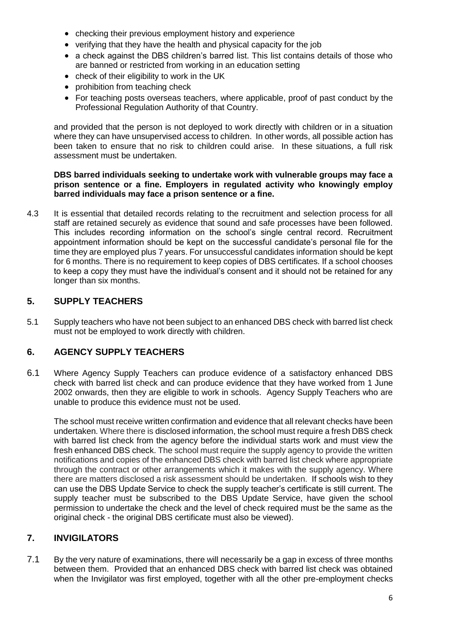- checking their previous employment history and experience
- verifying that they have the health and physical capacity for the job
- a check against the DBS children's barred list. This list contains details of those who are banned or restricted from working in an education setting
- check of their eligibility to work in the UK
- prohibition from teaching check
- For teaching posts overseas teachers, where applicable, proof of past conduct by the Professional Regulation Authority of that Country.

and provided that the person is not deployed to work directly with children or in a situation where they can have unsupervised access to children. In other words, all possible action has been taken to ensure that no risk to children could arise. In these situations, a full risk assessment must be undertaken.

#### **DBS barred individuals seeking to undertake work with vulnerable groups may face a prison sentence or a fine. Employers in regulated activity who knowingly employ barred individuals may face a prison sentence or a fine.**

4.3 It is essential that detailed records relating to the recruitment and selection process for all staff are retained securely as evidence that sound and safe processes have been followed. This includes recording information on the school's single central record. Recruitment appointment information should be kept on the successful candidate's personal file for the time they are employed plus 7 years. For unsuccessful candidates information should be kept for 6 months. There is no requirement to keep copies of DBS certificates. If a school chooses to keep a copy they must have the individual's consent and it should not be retained for any longer than six months.

#### <span id="page-6-0"></span>**5. SUPPLY TEACHERS**

5.1 Supply teachers who have not been subject to an enhanced DBS check with barred list check must not be employed to work directly with children.

#### <span id="page-6-1"></span>**6. AGENCY SUPPLY TEACHERS**

6.1 Where Agency Supply Teachers can produce evidence of a satisfactory enhanced DBS check with barred list check and can produce evidence that they have worked from 1 June 2002 onwards, then they are eligible to work in schools. Agency Supply Teachers who are unable to produce this evidence must not be used.

The school must receive written confirmation and evidence that all relevant checks have been undertaken. Where there is disclosed information, the school must require a fresh DBS check with barred list check from the agency before the individual starts work and must view the fresh enhanced DBS check. The school must require the supply agency to provide the written notifications and copies of the enhanced DBS check with barred list check where appropriate through the contract or other arrangements which it makes with the supply agency. Where there are matters disclosed a risk assessment should be undertaken. If schools wish to they can use the DBS Update Service to check the supply teacher's certificate is still current. The supply teacher must be subscribed to the DBS Update Service, have given the school permission to undertake the check and the level of check required must be the same as the original check - the original DBS certificate must also be viewed).

#### <span id="page-6-2"></span>**7. INVIGILATORS**

7.1 By the very nature of examinations, there will necessarily be a gap in excess of three months between them. Provided that an enhanced DBS check with barred list check was obtained when the Invigilator was first employed, together with all the other pre-employment checks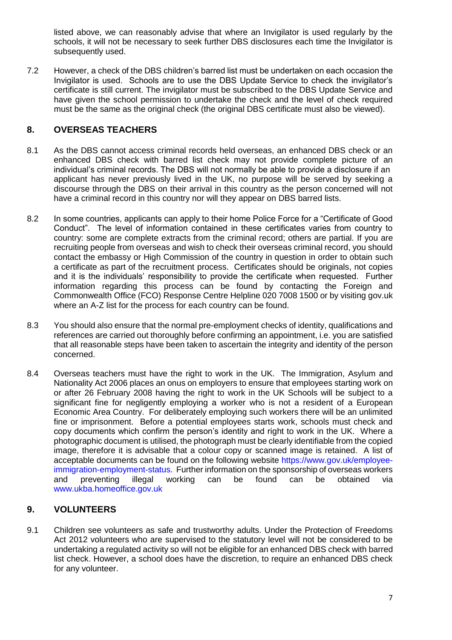listed above, we can reasonably advise that where an Invigilator is used regularly by the schools, it will not be necessary to seek further DBS disclosures each time the Invigilator is subsequently used.

7.2 However, a check of the DBS children's barred list must be undertaken on each occasion the Invigilator is used. Schools are to use the DBS Update Service to check the invigilator's certificate is still current. The invigilator must be subscribed to the DBS Update Service and have given the school permission to undertake the check and the level of check required must be the same as the original check (the original DBS certificate must also be viewed).

#### <span id="page-7-0"></span>**8. OVERSEAS TEACHERS**

- 8.1 As the DBS cannot access criminal records held overseas, an enhanced DBS check or an enhanced DBS check with barred list check may not provide complete picture of an individual's criminal records. The DBS will not normally be able to provide a disclosure if an applicant has never previously lived in the UK, no purpose will be served by seeking a discourse through the DBS on their arrival in this country as the person concerned will not have a criminal record in this country nor will they appear on DBS barred lists.
- 8.2 In some countries, applicants can apply to their home Police Force for a "Certificate of Good Conduct". The level of information contained in these certificates varies from country to country: some are complete extracts from the criminal record; others are partial. If you are recruiting people from overseas and wish to check their overseas criminal record, you should contact the embassy or High Commission of the country in question in order to obtain such a certificate as part of the recruitment process. Certificates should be originals, not copies and it is the individuals' responsibility to provide the certificate when requested. Further information regarding this process can be found by contacting the Foreign and Commonwealth Office (FCO) Response Centre Helpline 020 7008 1500 or by visiting gov.uk where an A-Z list for the process for each country can be found.
- 8.3 You should also ensure that the normal pre-employment checks of identity, qualifications and references are carried out thoroughly before confirming an appointment, i.e. you are satisfied that all reasonable steps have been taken to ascertain the integrity and identity of the person concerned.
- 8.4 Overseas teachers must have the right to work in the UK. The Immigration, Asylum and Nationality Act 2006 places an onus on employers to ensure that employees starting work on or after 26 February 2008 having the right to work in the UK Schools will be subject to a significant fine for negligently employing a worker who is not a resident of a European Economic Area Country. For deliberately employing such workers there will be an unlimited fine or imprisonment. Before a potential employees starts work, schools must check and copy documents which confirm the person's identity and right to work in the UK. Where a photographic document is utilised, the photograph must be clearly identifiable from the copied image, therefore it is advisable that a colour copy or scanned image is retained. A list of acceptable documents can be found on the following website [https://www.gov.uk/employee](https://www.gov.uk/employee-immigration-employment-status)[immigration-employment-status.](https://www.gov.uk/employee-immigration-employment-status) Further information on the sponsorship of overseas workers and preventing illegal working can be found can be obtained via [www.ukba.homeoffice.gov.uk](http://www.ukba.homeoffice.gov.uk/)

#### <span id="page-7-1"></span>**9. VOLUNTEERS**

9.1 Children see volunteers as safe and trustworthy adults. Under the Protection of Freedoms Act 2012 volunteers who are supervised to the statutory level will not be considered to be undertaking a regulated activity so will not be eligible for an enhanced DBS check with barred list check. However, a school does have the discretion, to require an enhanced DBS check for any volunteer.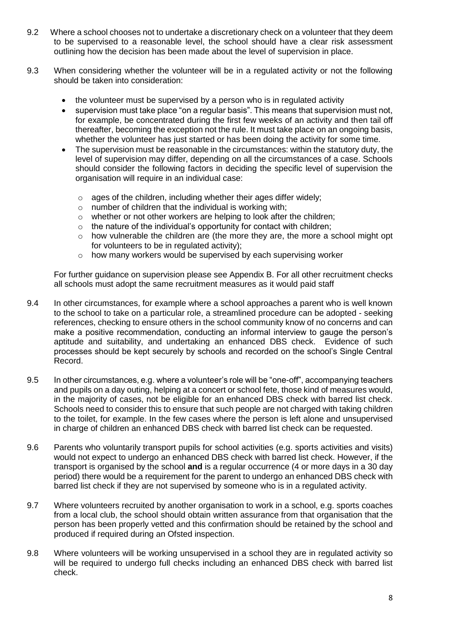- 9.2 Where a school chooses not to undertake a discretionary check on a volunteer that they deem to be supervised to a reasonable level, the school should have a clear risk assessment outlining how the decision has been made about the level of supervision in place.
- 9.3 When considering whether the volunteer will be in a regulated activity or not the following should be taken into consideration:
	- the volunteer must be supervised by a person who is in regulated activity
	- supervision must take place "on a regular basis". This means that supervision must not, for example, be concentrated during the first few weeks of an activity and then tail off thereafter, becoming the exception not the rule. It must take place on an ongoing basis, whether the volunteer has just started or has been doing the activity for some time.
	- The supervision must be reasonable in the circumstances: within the statutory duty, the level of supervision may differ, depending on all the circumstances of a case. Schools should consider the following factors in deciding the specific level of supervision the organisation will require in an individual case:
		- $\circ$  ages of the children, including whether their ages differ widely;
		- $\circ$  number of children that the individual is working with;
		- o whether or not other workers are helping to look after the children;
		- $\circ$  the nature of the individual's opportunity for contact with children:
		- o how vulnerable the children are (the more they are, the more a school might opt for volunteers to be in regulated activity);
		- o how many workers would be supervised by each supervising worker

For further guidance on supervision please see Appendix B. For all other recruitment checks all schools must adopt the same recruitment measures as it would paid staff

- 9.4 In other circumstances, for example where a school approaches a parent who is well known to the school to take on a particular role, a streamlined procedure can be adopted - seeking references, checking to ensure others in the school community know of no concerns and can make a positive recommendation, conducting an informal interview to gauge the person's aptitude and suitability, and undertaking an enhanced DBS check. Evidence of such processes should be kept securely by schools and recorded on the school's Single Central Record.
- 9.5 In other circumstances, e.g. where a volunteer's role will be "one-off", accompanying teachers and pupils on a day outing, helping at a concert or school fete, those kind of measures would, in the majority of cases, not be eligible for an enhanced DBS check with barred list check. Schools need to consider this to ensure that such people are not charged with taking children to the toilet, for example. In the few cases where the person is left alone and unsupervised in charge of children an enhanced DBS check with barred list check can be requested.
- 9.6 Parents who voluntarily transport pupils for school activities (e.g. sports activities and visits) would not expect to undergo an enhanced DBS check with barred list check. However, if the transport is organised by the school **and** is a regular occurrence (4 or more days in a 30 day period) there would be a requirement for the parent to undergo an enhanced DBS check with barred list check if they are not supervised by someone who is in a regulated activity.
- 9.7 Where volunteers recruited by another organisation to work in a school, e.g. sports coaches from a local club, the school should obtain written assurance from that organisation that the person has been properly vetted and this confirmation should be retained by the school and produced if required during an Ofsted inspection.
- 9.8 Where volunteers will be working unsupervised in a school they are in regulated activity so will be required to undergo full checks including an enhanced DBS check with barred list check.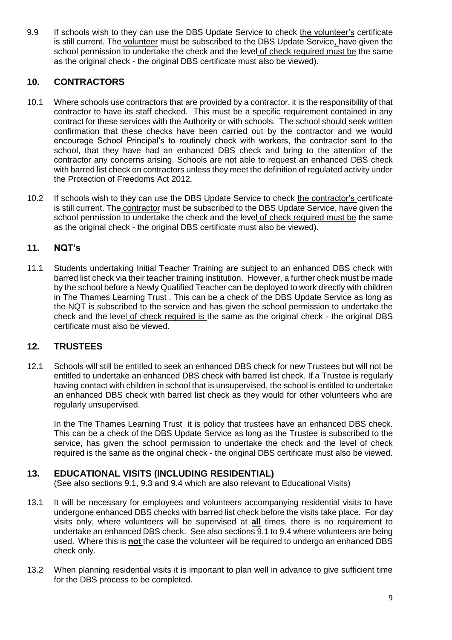9.9 If schools wish to they can use the DBS Update Service to check the volunteer's certificate is still current. The volunteer must be subscribed to the DBS Update Service, have given the school permission to undertake the check and the level of check required must be the same as the original check - the original DBS certificate must also be viewed).

#### <span id="page-9-0"></span>**10. CONTRACTORS**

- 10.1 Where schools use contractors that are provided by a contractor, it is the responsibility of that contractor to have its staff checked. This must be a specific requirement contained in any contract for these services with the Authority or with schools. The school should seek written confirmation that these checks have been carried out by the contractor and we would encourage School Principal's to routinely check with workers, the contractor sent to the school, that they have had an enhanced DBS check and bring to the attention of the contractor any concerns arising. Schools are not able to request an enhanced DBS check with barred list check on contractors unless they meet the definition of regulated activity under the Protection of Freedoms Act 2012.
- 10.2 If schools wish to they can use the DBS Update Service to check the contractor's certificate is still current. The contractor must be subscribed to the DBS Update Service, have given the school permission to undertake the check and the level of check required must be the same as the original check - the original DBS certificate must also be viewed).

#### <span id="page-9-1"></span>**11. NQT's**

11.1 Students undertaking Initial Teacher Training are subject to an enhanced DBS check with barred list check via their teacher training institution. However, a further check must be made by the school before a Newly Qualified Teacher can be deployed to work directly with children in The Thames Learning Trust . This can be a check of the DBS Update Service as long as the NQT is subscribed to the service and has given the school permission to undertake the check and the level of check required is the same as the original check - the original DBS certificate must also be viewed.

#### <span id="page-9-2"></span>**12. TRUSTEES**

12.1 Schools will still be entitled to seek an enhanced DBS check for new Trustees but will not be entitled to undertake an enhanced DBS check with barred list check. If a Trustee is regularly having contact with children in school that is unsupervised, the school is entitled to undertake an enhanced DBS check with barred list check as they would for other volunteers who are regularly unsupervised.

In the The Thames Learning Trust it is policy that trustees have an enhanced DBS check. This can be a check of the DBS Update Service as long as the Trustee is subscribed to the service, has given the school permission to undertake the check and the level of check required is the same as the original check - the original DBS certificate must also be viewed.

#### <span id="page-9-3"></span>**13. EDUCATIONAL VISITS (INCLUDING RESIDENTIAL)**

(See also sections 9.1, 9.3 and 9.4 which are also relevant to Educational Visits)

- 13.1 It will be necessary for employees and volunteers accompanying residential visits to have undergone enhanced DBS checks with barred list check before the visits take place. For day visits only, where volunteers will be supervised at **all** times, there is no requirement to undertake an enhanced DBS check. See also sections 9.1 to 9.4 where volunteers are being used. Where this is **not** the case the volunteer will be required to undergo an enhanced DBS check only.
- 13.2 When planning residential visits it is important to plan well in advance to give sufficient time for the DBS process to be completed.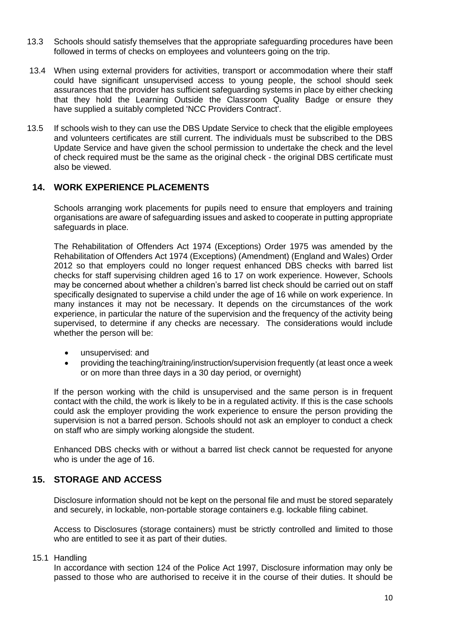- 13.3 Schools should satisfy themselves that the appropriate safeguarding procedures have been followed in terms of checks on employees and volunteers going on the trip.
- 13.4 When using external providers for activities, transport or accommodation where their staff could have significant unsupervised access to young people, the school should seek assurances that the provider has sufficient safeguarding systems in place by either checking that they hold the Learning Outside the Classroom Quality Badge or ensure they have supplied a suitably completed 'NCC Providers Contract'.
- 13.5 If schools wish to they can use the DBS Update Service to check that the eligible employees and volunteers certificates are still current. The individuals must be subscribed to the DBS Update Service and have given the school permission to undertake the check and the level of check required must be the same as the original check - the original DBS certificate must also be viewed.

#### <span id="page-10-0"></span>**14. WORK EXPERIENCE PLACEMENTS**

Schools arranging work placements for pupils need to ensure that employers and training organisations are aware of safeguarding issues and asked to cooperate in putting appropriate safeguards in place.

The Rehabilitation of Offenders Act 1974 (Exceptions) Order 1975 was amended by the Rehabilitation of Offenders Act 1974 (Exceptions) (Amendment) (England and Wales) Order 2012 so that employers could no longer request enhanced DBS checks with barred list checks for staff supervising children aged 16 to 17 on work experience. However, Schools may be concerned about whether a children's barred list check should be carried out on staff specifically designated to supervise a child under the age of 16 while on work experience. In many instances it may not be necessary. It depends on the circumstances of the work experience, in particular the nature of the supervision and the frequency of the activity being supervised, to determine if any checks are necessary. The considerations would include whether the person will be:

- unsupervised: and
- providing the teaching/training/instruction/supervision frequently (at least once a week or on more than three days in a 30 day period, or overnight)

If the person working with the child is unsupervised and the same person is in frequent contact with the child, the work is likely to be in a regulated activity. If this is the case schools could ask the employer providing the work experience to ensure the person providing the supervision is not a barred person. Schools should not ask an employer to conduct a check on staff who are simply working alongside the student.

Enhanced DBS checks with or without a barred list check cannot be requested for anyone who is under the age of 16.

#### <span id="page-10-1"></span>**15. STORAGE AND ACCESS**

Disclosure information should not be kept on the personal file and must be stored separately and securely, in lockable, non-portable storage containers e.g. lockable filing cabinet.

Access to Disclosures (storage containers) must be strictly controlled and limited to those who are entitled to see it as part of their duties.

15.1 Handling

In accordance with section 124 of the Police Act 1997, Disclosure information may only be passed to those who are authorised to receive it in the course of their duties. It should be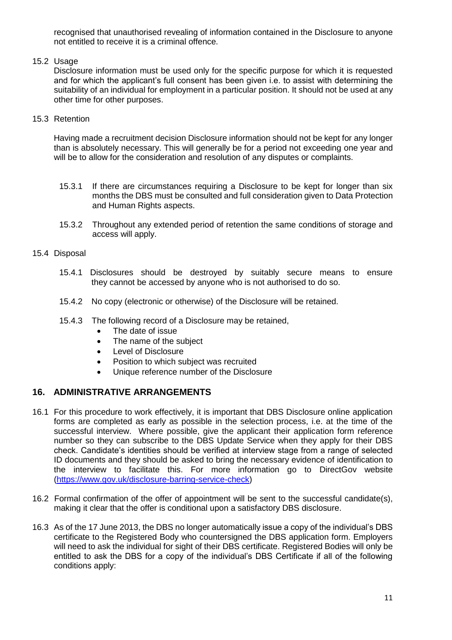recognised that unauthorised revealing of information contained in the Disclosure to anyone not entitled to receive it is a criminal offence.

#### 15.2 Usage

Disclosure information must be used only for the specific purpose for which it is requested and for which the applicant's full consent has been given i.e. to assist with determining the suitability of an individual for employment in a particular position. It should not be used at any other time for other purposes.

#### 15.3 Retention

Having made a recruitment decision Disclosure information should not be kept for any longer than is absolutely necessary. This will generally be for a period not exceeding one year and will be to allow for the consideration and resolution of any disputes or complaints.

- 15.3.1 If there are circumstances requiring a Disclosure to be kept for longer than six months the DBS must be consulted and full consideration given to Data Protection and Human Rights aspects.
- 15.3.2 Throughout any extended period of retention the same conditions of storage and access will apply.

#### 15.4 Disposal

- 15.4.1 Disclosures should be destroyed by suitably secure means to ensure they cannot be accessed by anyone who is not authorised to do so.
- 15.4.2 No copy (electronic or otherwise) of the Disclosure will be retained.
- <span id="page-11-0"></span>15.4.3 The following record of a Disclosure may be retained,
	- The date of issue
	- The name of the subject
	- Level of Disclosure
	- Position to which subject was recruited
	- Unique reference number of the Disclosure

#### <span id="page-11-1"></span>**16. ADMINISTRATIVE ARRANGEMENTS**

- 16.1 For this procedure to work effectively, it is important that DBS Disclosure online application forms are completed as early as possible in the selection process, i.e. at the time of the successful interview. Where possible, give the applicant their application form reference number so they can subscribe to the DBS Update Service when they apply for their DBS check. Candidate's identities should be verified at interview stage from a range of selected ID documents and they should be asked to bring the necessary evidence of identification to the interview to facilitate this. For more information go to [DirectGov website](http://www.direct.gov.uk/en/Employment/Startinganewjob/DG_195809) [\(https://www.gov.uk/disclosure-barring-service-check\)](https://www.gov.uk/disclosure-barring-service-check)
- 16.2 Formal confirmation of the offer of appointment will be sent to the successful candidate(s), making it clear that the offer is conditional upon a satisfactory DBS disclosure.
- 16.3 As of the 17 June 2013, the DBS no longer automatically issue a copy of the individual's DBS certificate to the Registered Body who countersigned the DBS application form. Employers will need to ask the individual for sight of their DBS certificate. Registered Bodies will only be entitled to ask the DBS for a copy of the individual's DBS Certificate if all of the following conditions apply: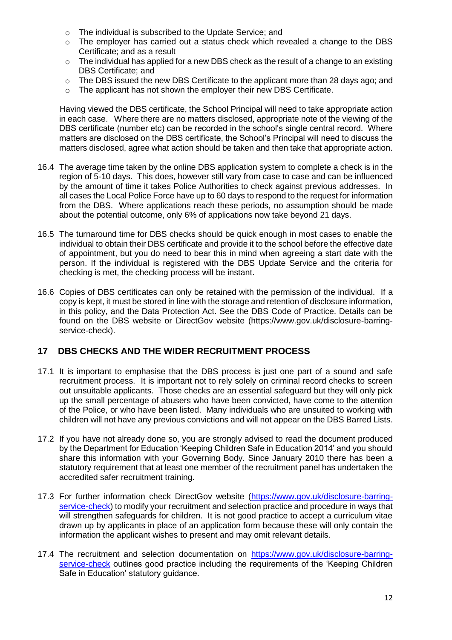- o The individual is subscribed to the Update Service; and
- $\circ$  The employer has carried out a status check which revealed a change to the DBS Certificate; and as a result
- o The individual has applied for a new DBS check as the result of a change to an existing DBS Certificate; and
- $\circ$  The DBS issued the new DBS Certificate to the applicant more than 28 days ago; and
- o The applicant has not shown the employer their new DBS Certificate.

Having viewed the DBS certificate, the School Principal will need to take appropriate action in each case. Where there are no matters disclosed, appropriate note of the viewing of the DBS certificate (number etc) can be recorded in the school's single central record. Where matters are disclosed on the DBS certificate, the School's Principal will need to discuss the matters disclosed, agree what action should be taken and then take that appropriate action.

- 16.4 The average time taken by the online DBS application system to complete a check is in the region of 5-10 days. This does, however still vary from case to case and can be influenced by the amount of time it takes Police Authorities to check against previous addresses. In all cases the Local Police Force have up to 60 days to respond to the request for information from the DBS. Where applications reach these periods, no assumption should be made about the potential outcome, only 6% of applications now take beyond 21 days.
- 16.5 The turnaround time for DBS checks should be quick enough in most cases to enable the individual to obtain their DBS certificate and provide it to the school before the effective date of appointment, but you do need to bear this in mind when agreeing a start date with the person. If the individual is registered with the DBS Update Service and the criteria for checking is met, the checking process will be instant.
- 16.6 Copies of DBS certificates can only be retained with the permission of the individual. If a copy is kept, it must be stored in line with the storage and retention of disclosure information, in this policy, and the Data Protection Act. See the DBS Code of Practice. Details can be found on the DBS website or DirectGov website (https://www.gov.uk/disclosure-barringservice-check).

#### <span id="page-12-0"></span>**17 DBS CHECKS AND THE WIDER RECRUITMENT PROCESS**

- 17.1 It is important to emphasise that the DBS process is just one part of a sound and safe recruitment process. It is important not to rely solely on criminal record checks to screen out unsuitable applicants. Those checks are an essential safeguard but they will only pick up the small percentage of abusers who have been convicted, have come to the attention of the Police, or who have been listed. Many individuals who are unsuited to working with children will not have any previous convictions and will not appear on the DBS Barred Lists.
- 17.2 If you have not already done so, you are strongly advised to read the document produced by the Department for Education 'Keeping Children Safe in Education 2014' and you should share this information with your Governing Body. Since January 2010 there has been a statutory requirement that at least one member of the recruitment panel has undertaken the accredited safer recruitment training.
- 17.3 For further information check DirectGov website [\(https://www.gov.uk/disclosure-barring](https://www.gov.uk/disclosure-barring-service-check)[service-check\)](https://www.gov.uk/disclosure-barring-service-check) to modify your recruitment and selection practice and procedure in ways that will strengthen safeguards for children. It is not good practice to accept a curriculum vitae drawn up by applicants in place of an application form because these will only contain the information the applicant wishes to present and may omit relevant details.
- 17.4 The recruitment and selection documentation on [https://www.gov.uk/disclosure-barring](https://www.gov.uk/disclosure-barring-service-check)[service-check](https://www.gov.uk/disclosure-barring-service-check) outlines good practice including the requirements of the 'Keeping Children Safe in Education' statutory guidance.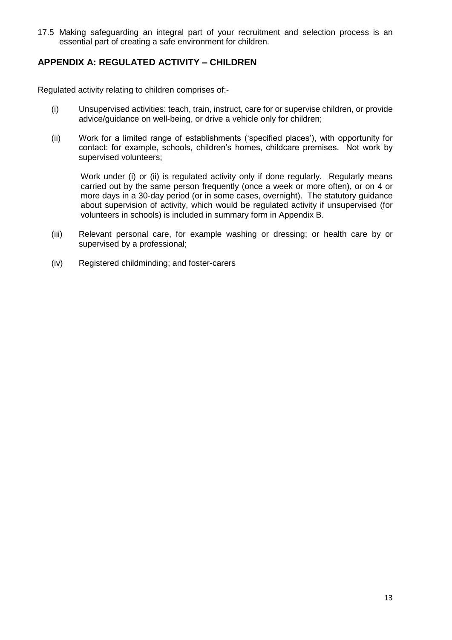17.5 Making safeguarding an integral part of your recruitment and selection process is an essential part of creating a safe environment for children.

#### <span id="page-13-0"></span>**APPENDIX A: REGULATED ACTIVITY – CHILDREN**

Regulated activity relating to children comprises of:-

- (i) Unsupervised activities: teach, train, instruct, care for or supervise children, or provide advice/guidance on well-being, or drive a vehicle only for children;
- (ii) Work for a limited range of establishments ('specified places'), with opportunity for contact: for example, schools, children's homes, childcare premises. Not work by supervised volunteers;

Work under (i) or (ii) is regulated activity only if done regularly. Regularly means carried out by the same person frequently (once a week or more often), or on 4 or more days in a 30-day period (or in some cases, overnight). The statutory guidance about supervision of activity, which would be regulated activity if unsupervised (for volunteers in schools) is included in summary form in Appendix B.

- (iii) Relevant personal care, for example washing or dressing; or health care by or supervised by a professional;
- <span id="page-13-1"></span>(iv) Registered childminding; and foster-carers